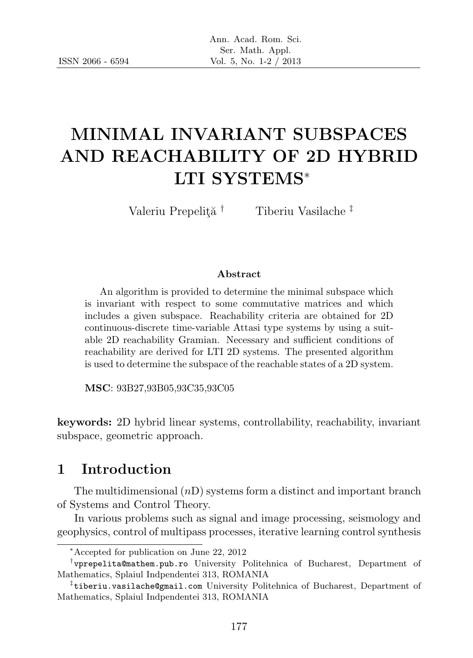# MINIMAL INVARIANT SUBSPACES AND REACHABILITY OF 2D HYBRID LTI SYSTEMS<sup>∗</sup>

Valeriu Prepelită<sup>†</sup> Tiberiu Vasilache<sup>‡</sup>

#### Abstract

An algorithm is provided to determine the minimal subspace which is invariant with respect to some commutative matrices and which includes a given subspace. Reachability criteria are obtained for 2D continuous-discrete time-variable Attasi type systems by using a suitable 2D reachability Gramian. Necessary and sufficient conditions of reachability are derived for LTI 2D systems. The presented algorithm is used to determine the subspace of the reachable states of a 2D system.

MSC: 93B27,93B05,93C35,93C05

keywords: 2D hybrid linear systems, controllability, reachability, invariant subspace, geometric approach.

### 1 Introduction

The multidimensional  $(nD)$  systems form a distinct and important branch of Systems and Control Theory.

In various problems such as signal and image processing, seismology and geophysics, control of multipass processes, iterative learning control synthesis

<sup>∗</sup>Accepted for publication on June 22, 2012

<sup>†</sup> vprepelita@mathem.pub.ro University Politehnica of Bucharest, Department of Mathematics, Splaiul Indpendentei 313, ROMANIA

<sup>‡</sup> tiberiu.vasilache@gmail.com University Politehnica of Bucharest, Department of Mathematics, Splaiul Indpendentei 313, ROMANIA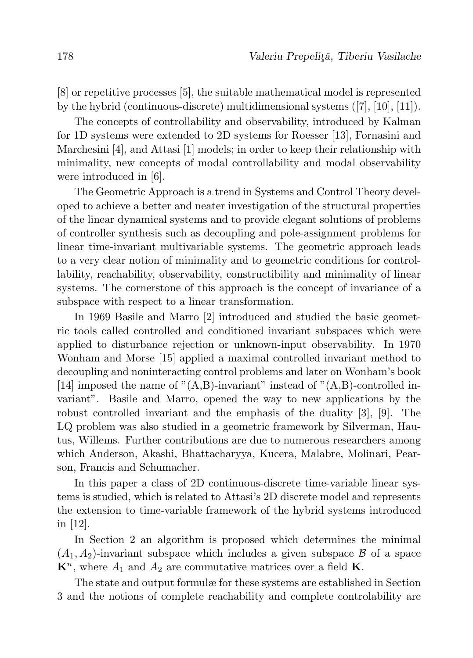[8] or repetitive processes [5], the suitable mathematical model is represented by the hybrid (continuous-discrete) multidimensional systems ([7], [10], [11]).

The concepts of controllability and observability, introduced by Kalman for 1D systems were extended to 2D systems for Roesser [13], Fornasini and Marchesini [4], and Attasi [1] models; in order to keep their relationship with minimality, new concepts of modal controllability and modal observability were introduced in [6].

The Geometric Approach is a trend in Systems and Control Theory developed to achieve a better and neater investigation of the structural properties of the linear dynamical systems and to provide elegant solutions of problems of controller synthesis such as decoupling and pole-assignment problems for linear time-invariant multivariable systems. The geometric approach leads to a very clear notion of minimality and to geometric conditions for controllability, reachability, observability, constructibility and minimality of linear systems. The cornerstone of this approach is the concept of invariance of a subspace with respect to a linear transformation.

In 1969 Basile and Marro [2] introduced and studied the basic geometric tools called controlled and conditioned invariant subspaces which were applied to disturbance rejection or unknown-input observability. In 1970 Wonham and Morse [15] applied a maximal controlled invariant method to decoupling and noninteracting control problems and later on Wonham's book [14] imposed the name of " $(A,B)$ -invariant" instead of " $(A,B)$ -controlled invariant". Basile and Marro, opened the way to new applications by the robust controlled invariant and the emphasis of the duality [3], [9]. The LQ problem was also studied in a geometric framework by Silverman, Hautus, Willems. Further contributions are due to numerous researchers among which Anderson, Akashi, Bhattacharyya, Kucera, Malabre, Molinari, Pearson, Francis and Schumacher.

In this paper a class of 2D continuous-discrete time-variable linear systems is studied, which is related to Attasi's 2D discrete model and represents the extension to time-variable framework of the hybrid systems introduced in [12].

In Section 2 an algorithm is proposed which determines the minimal  $(A_1, A_2)$ -invariant subspace which includes a given subspace  $\beta$  of a space  $\mathbf{K}^n$ , where  $A_1$  and  $A_2$  are commutative matrices over a field **K**.

The state and output formulæ for these systems are established in Section 3 and the notions of complete reachability and complete controlability are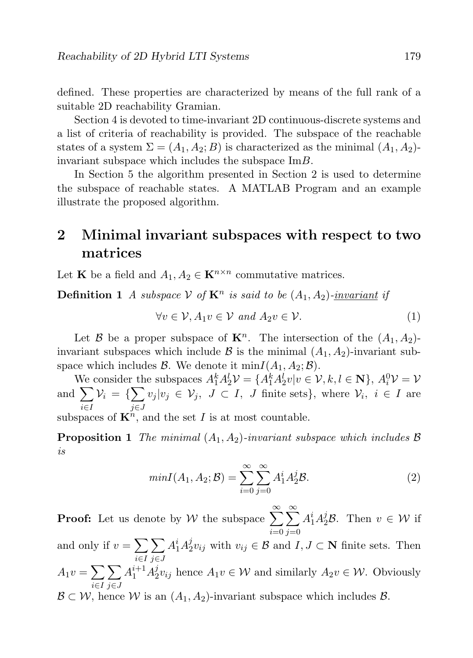defined. These properties are characterized by means of the full rank of a suitable 2D reachability Gramian.

Section 4 is devoted to time-invariant 2D continuous-discrete systems and a list of criteria of reachability is provided. The subspace of the reachable states of a system  $\Sigma = (A_1, A_2; B)$  is characterized as the minimal  $(A_1, A_2)$ invariant subspace which includes the subspace ImB.

In Section 5 the algorithm presented in Section 2 is used to determine the subspace of reachable states. A MATLAB Program and an example illustrate the proposed algorithm.

## 2 Minimal invariant subspaces with respect to two matrices

Let **K** be a field and  $A_1, A_2 \in \mathbf{K}^{n \times n}$  commutative matrices.

**Definition 1** A subspace  $V$  of  $K^n$  is said to be  $(A_1, A_2)$ -invariant if

$$
\forall v \in \mathcal{V}, A_1 v \in \mathcal{V} \text{ and } A_2 v \in \mathcal{V}.
$$
 (1)

Let B be a proper subspace of  $\mathbf{K}^n$ . The intersection of the  $(A_1, A_2)$ invariant subspaces which include  $\beta$  is the minimal  $(A_1, A_2)$ -invariant subspace which includes  $\mathcal{B}$ . We denote it min $I(A_1, A_2; \mathcal{B})$ .

We consider the subspaces  $A_1^k A_2^l \mathcal{V} = \{A_1^k A_2^l v | v \in \mathcal{V}, k, l \in \mathbb{N}\}, A_i^0 \mathcal{V} = \mathcal{V}$ and  $\sum$ i∈I  $\mathcal{V}_i = \{\sum$ j∈J  $v_j | v_j \in \mathcal{V}_j, J \subset I, J$  finite sets}, where  $\mathcal{V}_i, i \in I$  are

subspaces of  $\mathbf{K}^n$ , and the set I is at most countable.

**Proposition 1** The minimal  $(A_1, A_2)$ -invariant subspace which includes  $\beta$ is

$$
minI(A_1, A_2; \mathcal{B}) = \sum_{i=0}^{\infty} \sum_{j=0}^{\infty} A_1^i A_2^j \mathcal{B}.
$$
 (2)

**Proof:** Let us denote by W the subspace  $\sum_{n=1}^{\infty}$  $i=0$  $\sum^{\infty}$  $j=0$  $A_1^i A_2^j B$ . Then  $v \in \mathcal{W}$  if

and only if  $v = \sum$ i∈I  $\sum$ j∈J  $A_1^i A_2^j$  $v_2^j v_{ij}$  with  $v_{ij} \in \mathcal{B}$  and  $I, J \subset \mathbf{N}$  finite sets. Then  $A_1v = \sum$ i∈I  $\sum$ j∈J  $A_1^{i+1}A_2^j$  $Z_2^j v_{ij}$  hence  $A_1 v \in \mathcal{W}$  and similarly  $A_2 v \in \mathcal{W}$ . Obviously  $\mathcal{B} \subset \mathcal{W}$ , hence W is an  $(A_1, A_2)$ -invariant subspace which includes  $\mathcal{B}$ .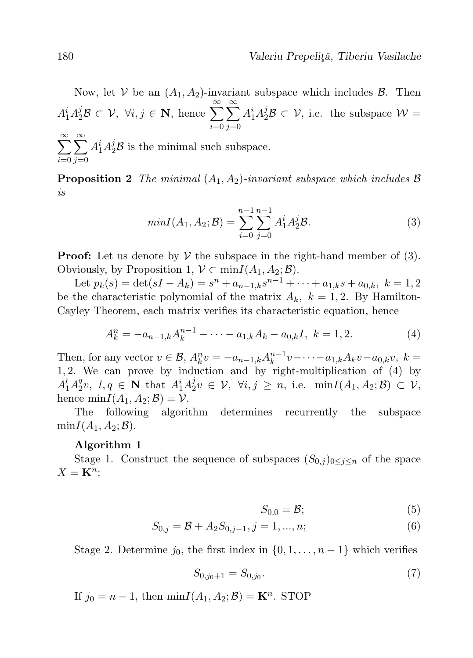Now, let V be an  $(A_1, A_2)$ -invariant subspace which includes  $\beta$ . Then  $A_1^i A_2^j B \subset \mathcal{V}, \ \forall i, j \in \mathbb{N}, \text{ hence } \sum^{\infty}$  $i=0$  $\sum^{\infty}$  $j=0$  $A_1^i A_2^j B \subset \mathcal{V}$ , i.e. the subspace  $\mathcal{W} =$ 

 $\sum^{\infty}$  $i=0$  $\sum^{\infty}$  $j=0$  $A_1^i A_2^j B$  is the minimal such subspace.

**Proposition 2** The minimal  $(A_1, A_2)$ -invariant subspace which includes  $\beta$ is

$$
minI(A_1, A_2; \mathcal{B}) = \sum_{i=0}^{n-1} \sum_{j=0}^{n-1} A_1^i A_2^j \mathcal{B}.
$$
 (3)

**Proof:** Let us denote by  $V$  the subspace in the right-hand member of (3). Obviously, by Proposition 1,  $V \subset \min I(A_1, A_2; \mathcal{B})$ .

Let  $p_k(s) = \det(sI - A_k) = s^n + a_{n-1,k}s^{n-1} + \cdots + a_{1,k}s + a_{0,k}, k = 1, 2$ be the characteristic polynomial of the matrix  $A_k$ ,  $k = 1, 2$ . By Hamilton-Cayley Theorem, each matrix verifies its characteristic equation, hence

$$
A_k^n = -a_{n-1,k}A_k^{n-1} - \dots - a_{1,k}A_k - a_{0,k}I, \ k = 1,2.
$$
 (4)

Then, for any vector  $v \in \mathcal{B}$ ,  $A_k^n v = -a_{n-1,k} A_k^{n-1} v - \cdots - a_{1,k} A_k v - a_{0,k} v$ ,  $k =$ 1, 2. We can prove by induction and by right-multiplication of (4) by  $A_1^l A_2^q$  $e_2^q v$ ,  $l, q \in \mathbf{N}$  that  $A_1^i A_2^j$  $\mathcal{E}_2^j v \in \mathcal{V}, \ \forall i,j \geq n, \ \text{i.e.} \ \min I(A_1,A_2;\mathcal{B}) \subset \mathcal{V},$ hence  $\min I(A_1, A_2; \mathcal{B}) = \mathcal{V}.$ 

The following algorithm determines recurrently the subspace  $minI(A_1, A_2; B)$ .

#### Algorithm 1

Stage 1. Construct the sequence of subspaces  $(S_{0,j})_{0\leq j\leq n}$  of the space  $X = \mathbf{K}^n$ :

$$
S_{0,0} = \mathcal{B};\tag{5}
$$

$$
S_{0,j} = \mathcal{B} + A_2 S_{0,j-1}, j = 1, ..., n;
$$
 (6)

Stage 2. Determine  $j_0$ , the first index in  $\{0, 1, \ldots, n-1\}$  which verifies

$$
S_{0,j_0+1} = S_{0,j_0}.\tag{7}
$$

If  $j_0 = n - 1$ , then  $minI(A_1, A_2; \mathcal{B}) = \mathbf{K}^n$ . STOP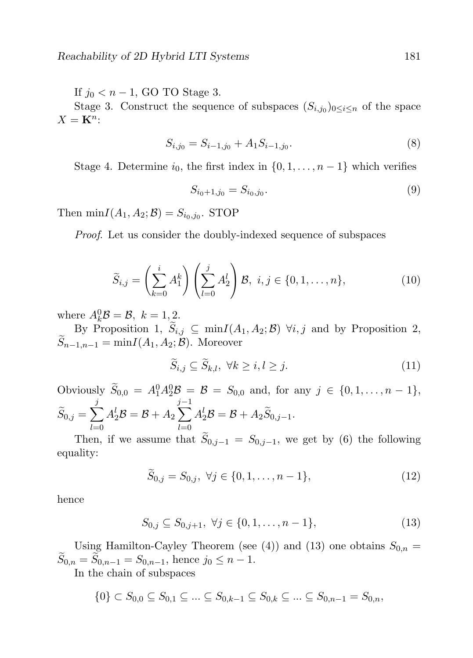If  $j_0 < n - 1$ , GO TO Stage 3.

Stage 3. Construct the sequence of subspaces  $(S_{i,j_0})_{0 \leq i \leq n}$  of the space  $X = \mathbf{K}^n$ :

$$
S_{i,j_0} = S_{i-1,j_0} + A_1 S_{i-1,j_0}.\tag{8}
$$

Stage 4. Determine  $i_0$ , the first index in  $\{0, 1, \ldots, n-1\}$  which verifies

$$
S_{i_0+1,j_0} = S_{i_0,j_0}.\tag{9}
$$

Then  $\min I(A_1, A_2; \mathcal{B}) = S_{i_0, j_0}$ . STOP

Proof. Let us consider the doubly-indexed sequence of subspaces

$$
\widetilde{S}_{i,j} = \left(\sum_{k=0}^{i} A_1^k\right) \left(\sum_{l=0}^{j} A_2^l\right) \mathcal{B}, \ i, j \in \{0, 1, \dots, n\},\tag{10}
$$

where  $A_k^0 \mathcal{B} = \mathcal{B}, k = 1, 2$ .

By Proposition 1,  $S_{i,j} \subseteq \min I(A_1, A_2; \mathcal{B})$   $\forall i, j$  and by Proposition 2,  $S_{n-1,n-1} = \min I(A_1, A_2; \mathcal{B})$ . Moreover

$$
\widetilde{S}_{i,j} \subseteq \widetilde{S}_{k,l}, \ \forall k \ge i, l \ge j. \tag{11}
$$

Obviously  $\widetilde{S}_{0,0} = A_1^0 A_2^0 B = B = S_{0,0}$  and, for any  $j \in \{0, 1, ..., n-1\},$  $\widetilde S_{0,j}=\sum$ j  $_{l=0}$  $A_2^l \mathcal{B} = \mathcal{B} + A_2$  $\sum^{j-1}$  $_{l=0}$  $A_2^l \mathcal{B} = \mathcal{B} + A_2 \widetilde{S}_{0,j-1}.$ 

Then, if we assume that  $S_{0,j-1} = S_{0,j-1}$ , we get by (6) the following equality:

$$
\widetilde{S}_{0,j} = S_{0,j}, \ \forall j \in \{0, 1, \dots, n-1\},\tag{12}
$$

hence

$$
S_{0,j} \subseteq S_{0,j+1}, \ \forall j \in \{0,1,\ldots,n-1\},\tag{13}
$$

Using Hamilton-Cayley Theorem (see (4)) and (13) one obtains  $S_{0,n} =$  $S_{0,n} = S_{0,n-1} = S_{0,n-1}$ , hence  $j_0 \leq n-1$ .

In the chain of subspaces

$$
\{0\} \subset S_{0,0} \subseteq S_{0,1} \subseteq \ldots \subseteq S_{0,k-1} \subseteq S_{0,k} \subseteq \ldots \subseteq S_{0,n-1} = S_{0,n},
$$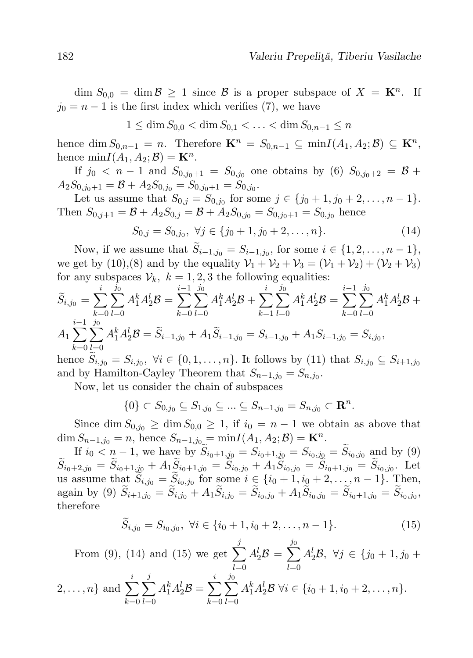$\dim S_{0,0} = \dim \mathcal{B} \geq 1$  since  $\mathcal{B}$  is a proper subspace of  $X = \mathbf{K}^n$ . If  $j_0 = n - 1$  is the first index which verifies (7), we have

$$
1 \le \dim S_{0,0} < \dim S_{0,1} < \ldots < \dim S_{0,n-1} \le n
$$

hence dim  $S_{0,n-1} = n$ . Therefore  $\mathbf{K}^n = S_{0,n-1} \subseteq \min I(A_1, A_2; \mathcal{B}) \subseteq \mathbf{K}^n$ , hence  $\min I(A_1, A_2; \mathcal{B}) = \mathbf{K}^n$ .

If  $j_0 < n-1$  and  $S_{0,j_0+1} = S_{0,j_0}$  one obtains by (6)  $S_{0,j_0+2} = \mathcal{B} + \mathcal{B}$  $A_2S_{0,j_0+1} = \mathcal{B} + A_2S_{0,j_0} = S_{0,j_0+1} = S_{0,j_0}.$ 

Let us assume that  $S_{0,j} = S_{0,j_0}$  for some  $j \in \{j_0 + 1, j_0 + 2, \ldots, n - 1\}$ . Then  $S_{0,j+1} = \mathcal{B} + A_2 S_{0,j} = \mathcal{B} + A_2 S_{0,j_0} = S_{0,j_0+1} = S_{0,j_0}$  hence

$$
S_{0,j} = S_{0,j_0}, \ \forall j \in \{j_0 + 1, j_0 + 2, \dots, n\}.
$$
 (14)

Now, if we assume that  $S_{i-1,j_0} = S_{i-1,j_0}$ , for some  $i \in \{1, 2, ..., n-1\}$ , we get by (10),(8) and by the equality  $V_1 + V_2 + V_3 = (V_1 + V_2) + (V_2 + V_3)$ for any subspaces  $V_k$ ,  $k = 1, 2, 3$  the following equalities:

$$
\widetilde{S}_{i,j_0} = \sum_{k=0}^{i} \sum_{l=0}^{j_0} A_1^k A_2^l \mathcal{B} = \sum_{k=0}^{i-1} \sum_{l=0}^{j_0} A_1^k A_2^l \mathcal{B} + \sum_{k=1}^{i} \sum_{l=0}^{j_0} A_1^k A_2^l \mathcal{B} = \sum_{k=0}^{i-1} \sum_{l=0}^{j_0} A_1^k A_2^l \mathcal{B} + A_1 \sum_{k=0}^{i-1} \sum_{l=0}^{j_0} A_1^k A_2^l \mathcal{B} = \widetilde{S}_{i-1,j_0} + A_1 \widetilde{S}_{i-1,j_0} = S_{i-1,j_0} + A_1 S_{i-1,j_0} = S_{i,j_0},
$$

hence  $S_{i,j_0} = S_{i,j_0}, \forall i \in \{0,1,\ldots,n\}$ . It follows by (11) that  $S_{i,j_0} \subseteq S_{i+1,j_0}$ and by Hamilton-Cayley Theorem that  $S_{n-1,j_0} = S_{n,j_0}$ .

Now, let us consider the chain of subspaces

 $k=0$ 

 $_{l=0}$ 

$$
\{0\} \subset S_{0,j_0} \subseteq S_{1,j_0} \subseteq \ldots \subseteq S_{n-1,j_0} = S_{n,j_0} \subset \mathbf{R}^n.
$$

Since dim  $S_{0,j_0} \ge \dim S_{0,0} \ge 1$ , if  $i_0 = n - 1$  we obtain as above that dim  $S_{n-1,j_0} = n$ , hence  $S_{n-1,j_0} = \min I(A_1, A_2; \mathcal{B}) = \mathbf{K}^n$ .

If  $i_0 < n - 1$ , we have by  $S_{i_0+1,j_0} = S_{i_0+1,j_0} = S_{i_0,j_0} = S_{i_0,j_0}$  and by (9)  $S_{i_0+2,j_0} = S_{i_0+1,j_0} + A_1 S_{i_0+1,j_0} = S_{i_0,j_0} + A_1 S_{i_0,j_0} = S_{i_0+1,j_0} = S_{i_0,j_0}$ . Let us assume that  $S_{i,j_0} = S_{i_0,j_0}$  for some  $i \in \{i_0+1, i_0+2, \ldots, n-1\}$ . Then, again by (9)  $S_{i+1,j_0} = S_{i,j_0} + A_1 S_{i,j_0} = S_{i_0,j_0} + A_1 S_{i_0,j_0} = S_{i_0+1,j_0} = S_{i_0,j_0}$ , therefore

$$
\widetilde{S}_{i,j_0} = S_{i_0,j_0}, \ \forall i \in \{i_0 + 1, i_0 + 2, \dots, n - 1\}.
$$
\n(15)

From (9), (14) and (15) we get 
$$
\sum_{l=0}^{j} A_2^l B = \sum_{l=0}^{j_0} A_2^l B
$$
,  $\forall j \in \{j_0 + 1, j_0 + 2, ..., n\}$  and  $\sum_{l=0}^{i} \sum_{l=0}^{j} A_1^k A_2^l B = \sum_{l=0}^{i} \sum_{l=0}^{j_0} A_1^k A_2^l B$   $\forall i \in \{i_0 + 1, i_0 + 2, ..., n\}.$ 

 $_{l=0}$ 

 $k=0$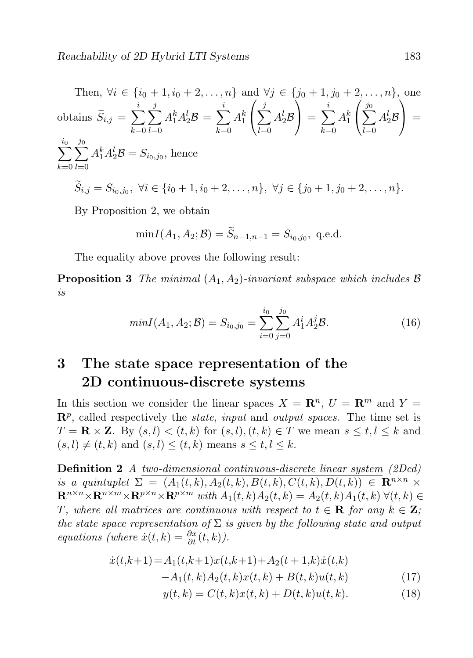Then, 
$$
\forall i \in \{i_0 + 1, i_0 + 2, ..., n\}
$$
 and  $\forall j \in \{j_0 + 1, j_0 + 2, ..., n\}$ , one  
obtains  $\tilde{S}_{i,j} = \sum_{k=0}^{i} \sum_{l=0}^{j} A_1^k A_2^l B = \sum_{k=0}^{i} A_1^k \left( \sum_{l=0}^{j} A_2^l B \right) = \sum_{k=0}^{i} A_1^k \left( \sum_{l=0}^{j_0} A_2^l B \right) =$   
 $\sum_{k=0}^{i_0} \sum_{l=0}^{j_0} A_1^k A_2^l B = S_{i_0, j_0}$ , hence  
 $\tilde{S}_{i,j} = S_{i_0, j_0}, \forall i \in \{i_0 + 1, i_0 + 2, ..., n\}, \forall j \in \{j_0 + 1, j_0 + 2, ..., n\}.$ 

By Proposition 2, we obtain

$$
\min I(A_1, A_2; \mathcal{B}) = \widetilde{S}_{n-1,n-1} = S_{i_0,j_0}, \text{ q.e.d.}
$$

The equality above proves the following result:

**Proposition 3** The minimal  $(A_1, A_2)$ -invariant subspace which includes  $\beta$ is

$$
minI(A_1, A_2; \mathcal{B}) = S_{i_0, j_0} = \sum_{i=0}^{i_0} \sum_{j=0}^{j_0} A_1^i A_2^j \mathcal{B}.
$$
 (16)

## 3 The state space representation of the 2D continuous-discrete systems

In this section we consider the linear spaces  $X = \mathbb{R}^n$ ,  $U = \mathbb{R}^m$  and  $Y =$  $\mathbb{R}^p$ , called respectively the *state*, *input* and *output spaces*. The time set is  $T = \mathbf{R} \times \mathbf{Z}$ . By  $(s, l) < (t, k)$  for  $(s, l), (t, k) \in T$  we mean  $s \leq t, l \leq k$  and  $(s, l) \neq (t, k)$  and  $(s, l) \leq (t, k)$  means  $s \leq t, l \leq k$ .

Definition 2 A two-dimensional continuous-discrete linear system (2Dcd) is a quintuplet  $\Sigma = (A_1(t, k), A_2(t, k), B(t, k), C(t, k), D(t, k)) \in \mathbb{R}^{n \times n} \times$  $\mathbf{R}^{n \times n} \times \mathbf{R}^{n \times m} \times \mathbf{R}^{p \times n} \times \mathbf{R}^{p \times m}$  with  $A_1(t, k)A_2(t, k) = A_2(t, k)A_1(t, k)$   $\forall (t, k) \in$ T, where all matrices are continuous with respect to  $t \in \mathbf{R}$  for any  $k \in \mathbf{Z}$ ; the state space representation of  $\Sigma$  is given by the following state and output equations (where  $\dot{x}(t,k) = \frac{\partial x}{\partial t}(t,k)$ ).

$$
\begin{aligned} \dot{x}(t,k+1) &= A_1(t,k+1)x(t,k+1) + A_2(t+1,k)\dot{x}(t,k) \\ &- A_1(t,k)A_2(t,k)x(t,k) + B(t,k)u(t,k) \end{aligned} \tag{17}
$$

$$
y(t,k) = C(t,k)x(t,k) + D(t,k)u(t,k).
$$
 (18)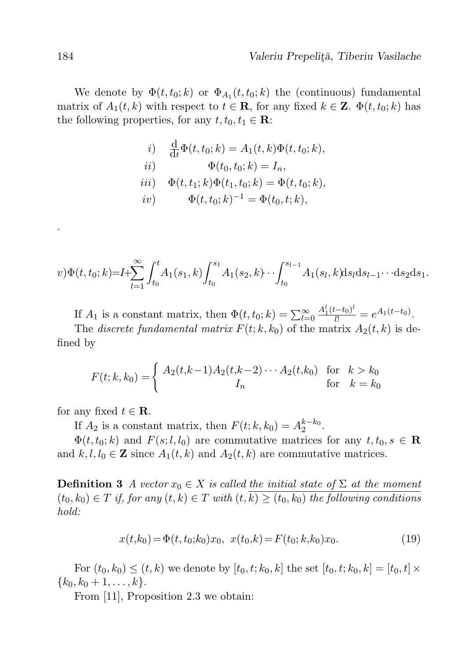We denote by  $\Phi(t, t_0; k)$  or  $\Phi_{A_1}(t, t_0; k)$  the (continuous) fundamental matrix of  $A_1(t, k)$  with respect to  $t \in \mathbf{R}$ , for any fixed  $k \in \mathbf{Z}$ .  $\Phi(t, t_0; k)$  has the following properties, for any  $t, t_0, t_1 \in \mathbf{R}$ :

*i*) 
$$
\frac{d}{dt}\Phi(t, t_0; k) = A_1(t, k)\Phi(t, t_0; k),
$$
  
\n*ii*) 
$$
\Phi(t_0, t_0; k) = I_n,
$$
  
\n*iii*) 
$$
\Phi(t, t_1; k)\Phi(t_1, t_0; k) = \Phi(t, t_0; k),
$$
  
\n*iv*) 
$$
\Phi(t, t_0; k)^{-1} = \Phi(t_0, t; k),
$$

$$
v)\Phi(t,t_{0};k)=I+\sum_{l=1}^{\infty}\int_{t_{0}}^{t}A_{1}(s_{1},k)\int_{t_{0}}^{s_{1}}A_{1}(s_{2},k)\cdots\int_{t_{0}}^{s_{l-1}}A_{1}(s_{l},k)\mathrm{d}s_{l}\mathrm{d}s_{l-1}\cdots\mathrm{d}s_{2}\mathrm{d}s_{1}.
$$

If  $A_1$  is a constant matrix, then  $\Phi(t, t_0; k) = \sum_{l=0}^{\infty}$  $\frac{A_1^l(t-t_0)^l}{l!} = e^{A_1(t-t_0)}.$ 

The discrete fundamental matrix  $F(t; k, k_0)$  of the matrix  $A_2(t, k)$  is defined by

$$
F(t; k, k_0) = \begin{cases} A_2(t, k-1)A_2(t, k-2) \cdots A_2(t, k_0) & \text{for } k > k_0 \\ I_n & \text{for } k = k_0 \end{cases}
$$

for any fixed  $t \in \mathbf{R}$ .

If  $A_2$  is a constant matrix, then  $F(t; k, k_0) = A_2^{k-k_0}$ .

 $\Phi(t, t_0; k)$  and  $F(s; l, l_0)$  are commutative matrices for any  $t, t_0, s \in \mathbf{R}$ and  $k, l, l_0 \in \mathbb{Z}$  since  $A_1(t, k)$  and  $A_2(t, k)$  are commutative matrices.

**Definition 3** A vector  $x_0 \in X$  is called the initial state of  $\Sigma$  at the moment  $(t_0, k_0) \in T$  if, for any  $(t, k) \in T$  with  $(t, k) \ge (t_0, k_0)$  the following conditions hold:

$$
x(t,k_0) = \Phi(t,t_0;k_0)x_0, \ \ x(t_0,k) = F(t_0;k,k_0)x_0.
$$
\n<sup>(19)</sup>

For  $(t_0, k_0) \le (t, k)$  we denote by  $[t_0, t; k_0, k]$  the set  $[t_0, t; k_0, k] = [t_0, t] \times$  $\{k_0, k_0 + 1, \ldots, k\}.$ 

From [11], Proposition 2.3 we obtain:

.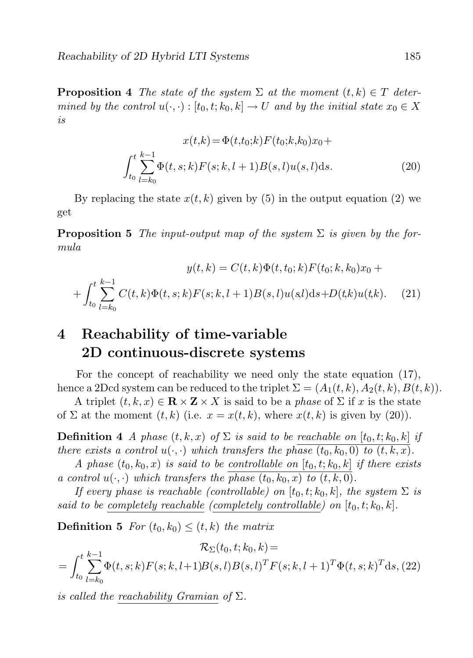**Proposition 4** The state of the system  $\Sigma$  at the moment  $(t, k) \in T$  determined by the control  $u(\cdot, \cdot): [t_0, t; k_0, k] \to U$  and by the initial state  $x_0 \in X$ is

$$
x(t,k) = \Phi(t,t_0;k)F(t_0;k,k_0)x_0 +
$$

$$
\int_{t_0}^t \sum_{l=k_0}^{k-1} \Phi(t,s;k)F(s;k,l+1)B(s,l)u(s,l)ds.
$$
 (20)

By replacing the state  $x(t, k)$  given by (5) in the output equation (2) we get

**Proposition 5** The input-output map of the system  $\Sigma$  is given by the formula

$$
y(t,k) = C(t,k)\Phi(t,t_0;k)F(t_0;k,k_0)x_0 +
$$

$$
+ \int_{t_0}^t \sum_{l=k_0}^{k-1} C(t,k)\Phi(t,s;k)F(s;k,l+1)B(s,l)u(s,l)ds + D(t,k)u(t,k).
$$
 (21)

## 4 Reachability of time-variable 2D continuous-discrete systems

For the concept of reachability we need only the state equation (17), hence a 2Dcd system can be reduced to the triplet  $\Sigma = (A_1(t, k), A_2(t, k), B(t, k)).$ 

A triplet  $(t, k, x) \in \mathbb{R} \times \mathbb{Z} \times X$  is said to be a phase of  $\Sigma$  if x is the state of  $\Sigma$  at the moment  $(t, k)$  (i.e.  $x = x(t, k)$ , where  $x(t, k)$  is given by (20)).

**Definition 4** A phase  $(t, k, x)$  of  $\Sigma$  is said to be reachable on  $[t_0, t; k_0, k]$  if there exists a control  $u(\cdot, \cdot)$  which transfers the phase  $(t_0, k_0, 0)$  to  $(t, k, x)$ .

A phase  $(t_0, k_0, x)$  is said to be controllable on  $[t_0, t; k_0, k]$  if there exists a control  $u(\cdot, \cdot)$  which transfers the phase  $(t_0, k_0, x)$  to  $(t, k, 0)$ .

If every phase is reachable (controllable) on  $[t_0, t; k_0, k]$ , the system  $\Sigma$  is said to be completely reachable (completely controllable) on  $[t_0, t; k_0, k]$ .

**Definition 5** For  $(t_0, k_0) \leq (t, k)$  the matrix

$$
\mathcal{R}_{\Sigma}(t_0, t; k_0, k) =
$$
  
= 
$$
\int_{t_0}^{t} \sum_{l=k_0}^{k-1} \Phi(t, s; k) F(s; k, l+1) B(s, l) B(s, l)^T F(s; k, l+1)^T \Phi(t, s; k)^T ds, (22)
$$

is called the reachability Gramian of  $\Sigma$ .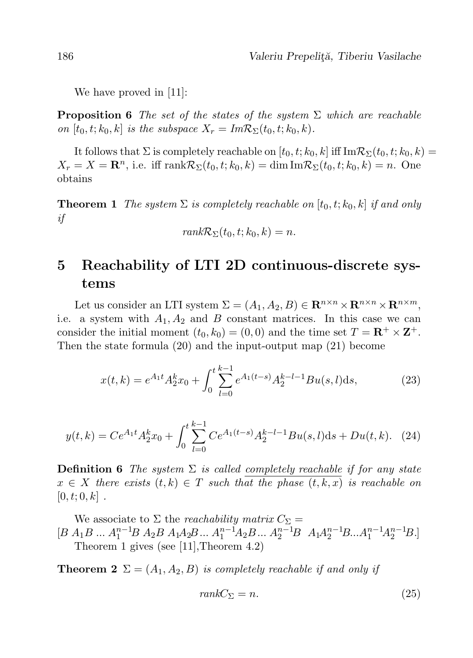We have proved in [11]:

**Proposition 6** The set of the states of the system  $\Sigma$  which are reachable on  $[t_0, t; k_0, k]$  is the subspace  $X_r = Im \mathcal{R}_{\Sigma}(t_0, t; k_0, k)$ .

It follows that  $\Sigma$  is completely reachable on  $[t_0, t; k_0, k]$  iff  $\text{Im} \mathcal{R}_{\Sigma}(t_0, t; k_0, k)$  $X_r = X = \mathbb{R}^n$ , i.e. iff  $\text{rank} \mathcal{R}_{\Sigma}(t_0, t; k_0, k) = \dim \text{Im} \mathcal{R}_{\Sigma}(t_0, t; k_0, k) = n$ . One obtains

**Theorem 1** The system  $\Sigma$  is completely reachable on  $[t_0, t; k_0, k]$  if and only if

$$
rank\mathcal{R}_{\Sigma}(t_0,t;k_0,k)=n.
$$

## 5 Reachability of LTI 2D continuous-discrete systems

Let us consider an LTI system  $\Sigma = (A_1, A_2, B) \in \mathbb{R}^{n \times n} \times \mathbb{R}^{n \times n} \times \mathbb{R}^{n \times m}$ , i.e. a system with  $A_1, A_2$  and B constant matrices. In this case we can consider the initial moment  $(t_0, k_0) = (0, 0)$  and the time set  $T = \mathbb{R}^+ \times \mathbb{Z}^+$ . Then the state formula (20) and the input-output map (21) become

$$
x(t,k) = e^{A_1 t} A_2^k x_0 + \int_0^t \sum_{l=0}^{k-1} e^{A_1(t-s)} A_2^{k-l-1} B u(s,l) \, ds,\tag{23}
$$

$$
y(t,k) = Ce^{A_1t}A_2^kx_0 + \int_0^t \sum_{l=0}^{k-1} Ce^{A_1(t-s)}A_2^{k-l-1}Bu(s,l)ds + Du(t,k).
$$
 (24)

**Definition 6** The system  $\Sigma$  is called completely reachable if for any state  $x \in X$  there exists  $(t, k) \in T$  such that the phase  $(t, k, x)$  is reachable on  $[0, t; 0, k]$ .

We associate to  $\Sigma$  the *reachability matrix*  $C_{\Sigma}$  =  $[B A_1 B ... A_1^{n-1} B A_2 B A_1 A_2 B ... A_1^{n-1} A_2 B ... A_2^{n-1} B A_1 A_2^{n-1} B ... A_1^{n-1} A_2^{n-1} B]$ Theorem 1 gives (see [11],Theorem 4.2)

**Theorem 2**  $\Sigma = (A_1, A_2, B)$  is completely reachable if and only if

$$
rankC_{\Sigma} = n. \tag{25}
$$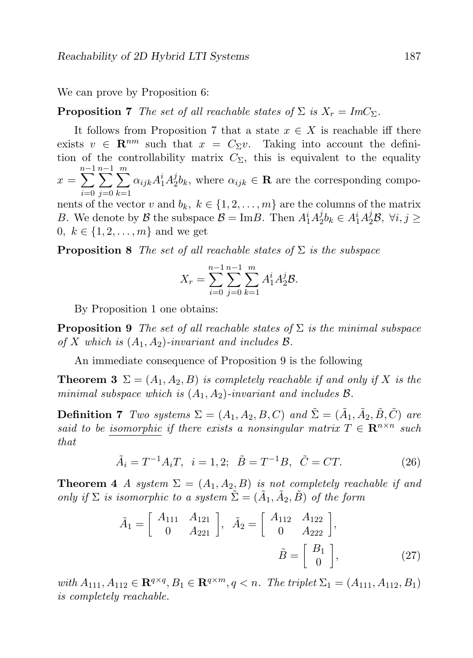We can prove by Proposition 6:

**Proposition 7** The set of all reachable states of  $\Sigma$  is  $X_r = ImC_{\Sigma}$ .

It follows from Proposition 7 that a state  $x \in X$  is reachable iff there exists  $v \in \mathbb{R}^{nm}$  such that  $x = C_{\Sigma}v$ . Taking into account the definition of the controllability matrix  $C_{\Sigma}$ , this is equivalent to the equality

 $x =$  $\sum^{n-1}$  $i=0$  $\sum^{n-1}$  $j=0$  $\sum_{ }^{\infty}$  $_{k=1}$  $\alpha_{ijk}A_1^iA_2^j$  $\mathcal{L}_2^j b_k$ , where  $\alpha_{ijk} \in \mathbf{R}$  are the corresponding compo-

nents of the vector v and  $b_k, k \in \{1, 2, ..., m\}$  are the columns of the matrix B. We denote by  $\mathcal{B}$  the subspace  $\mathcal{B} = \text{Im}B$ . Then  $A_1^i A_2^j$  $i_2^j b_k \in A_1^i A_2^j \mathcal{B}, \ \forall i, j \geq$ 0,  $k \in \{1, 2, ..., m\}$  and we get

**Proposition 8** The set of all reachable states of  $\Sigma$  is the subspace

$$
X_r = \sum_{i=0}^{n-1} \sum_{j=0}^{n-1} \sum_{k=1}^m A_1^i A_2^j \mathcal{B}.
$$

By Proposition 1 one obtains:

**Proposition 9** The set of all reachable states of  $\Sigma$  is the minimal subspace of X which is  $(A_1, A_2)$ -invariant and includes  $\mathcal{B}$ .

An immediate consequence of Proposition 9 is the following

**Theorem 3**  $\Sigma = (A_1, A_2, B)$  is completely reachable if and only if X is the minimal subspace which is  $(A_1, A_2)$ -invariant and includes  $\mathcal{B}$ .

**Definition 7** Two systems  $\Sigma = (A_1, A_2, B, C)$  and  $\tilde{\Sigma} = (\tilde{A}_1, \tilde{A}_2, \tilde{B}, \tilde{C})$  are said to be isomorphic if there exists a nonsingular matrix  $T \in \mathbb{R}^{n \times n}$  such that

$$
\tilde{A}_i = T^{-1} A_i T, \quad i = 1, 2; \quad \tilde{B} = T^{-1} B, \quad \tilde{C} = C T.
$$
\n(26)

**Theorem 4** A system  $\Sigma = (A_1, A_2, B)$  is not completely reachable if and only if  $\Sigma$  is isomorphic to a system  $\tilde{\Sigma} = (\tilde{A}_1, \tilde{A}_2, \tilde{B})$  of the form

$$
\tilde{A}_1 = \begin{bmatrix} A_{111} & A_{121} \\ 0 & A_{221} \end{bmatrix}, \quad \tilde{A}_2 = \begin{bmatrix} A_{112} & A_{122} \\ 0 & A_{222} \end{bmatrix},
$$

$$
\tilde{B} = \begin{bmatrix} B_1 \\ 0 \end{bmatrix},
$$
(27)

with  $A_{111}, A_{112} \in \mathbf{R}^{q \times q}, B_1 \in \mathbf{R}^{q \times m}, q < n$ . The triplet  $\Sigma_1 = (A_{111}, A_{112}, B_1)$ is completely reachable.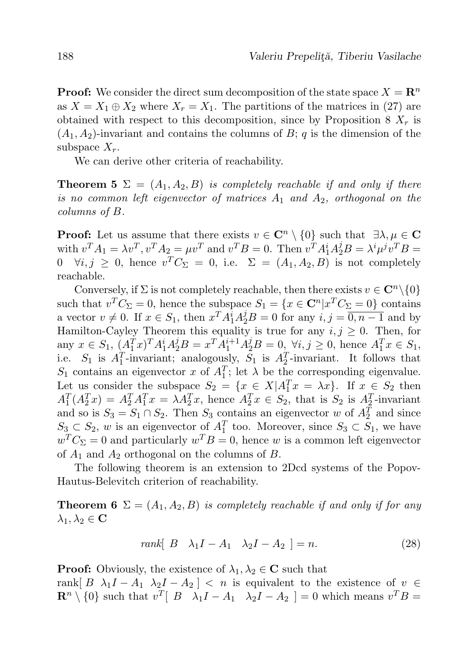**Proof:** We consider the direct sum decomposition of the state space  $X = \mathbb{R}^n$ as  $X = X_1 \oplus X_2$  where  $X_r = X_1$ . The partitions of the matrices in (27) are obtained with respect to this decomposition, since by Proposition 8  $X_r$  is  $(A_1, A_2)$ -invariant and contains the columns of B; q is the dimension of the subspace  $X_r$ .

We can derive other criteria of reachability.

**Theorem 5**  $\Sigma = (A_1, A_2, B)$  is completely reachable if and only if there is no common left eigenvector of matrices  $A_1$  and  $A_2$ , orthogonal on the columns of B.

**Proof:** Let us assume that there exists  $v \in \mathbb{C}^n \setminus \{0\}$  such that  $\exists \lambda, \mu \in \mathbb{C}$ with  $v^T A_1 = \lambda v^T$ ,  $v^T A_2 = \mu v^T$  and  $v^T B = 0$ . Then  $v^T A_1^i A_2^j B = \lambda^i \mu^j v^T B =$  $0 \quad \forall i, j \geq 0$ , hence  $v^T C_{\Sigma} = 0$ , i.e.  $\Sigma = (A_1, A_2, B)$  is not completely reachable.

Conversely, if  $\Sigma$  is not completely reachable, then there exists  $v \in \mathbb{C}^n \setminus \{0\}$ such that  $v^T C_{\Sigma} = 0$ , hence the subspace  $S_1 = \{x \in \mathbb{C}^n | x^T C_{\Sigma} = 0\}$  contains a vector  $v \neq 0$ . If  $x \in S_1$ , then  $x^T A_1^i A_2^j B = 0$  for any  $i, j = \overline{0, n-1}$  and by Hamilton-Cayley Theorem this equality is true for any  $i, j \geq 0$ . Then, for any  $x \in S_1$ ,  $(A_1^T x)^T A_1^i A_2^j B = x^T A_1^{i+1} A_2^j B = 0$ ,  $\forall i, j \ge 0$ , hence  $A_1^T x \in S_1$ , i.e.  $S_1$  is  $A_1^T$ -invariant; analogously,  $S_1$  is  $A_2^T$ -invariant. It follows that  $S_1$  contains an eigenvector x of  $A_1^T$ ; let  $\lambda$  be the corresponding eigenvalue. Let us consider the subspace  $S_2 = \{x \in X | A_1^T x = \lambda x\}$ . If  $x \in S_2$  then  $A_1^T(A_2^Tx) = A_2^TA_1^Tx = \lambda A_2^Tx$ , hence  $A_2^Tx \in S_2$ , that is  $S_2$  is  $A_2^T$ -invariant and so is  $S_3 = S_1 \cap S_2$ . Then  $S_3$  contains an eigenvector w of  $A_2^T$  and since  $S_3 \subset S_2$ , w is an eigenvector of  $A_1^T$  too. Moreover, since  $S_3 \subset S_1$ , we have  $w^T C_{\Sigma} = 0$  and particularly  $w^T B = 0$ , hence w is a common left eigenvector of  $A_1$  and  $A_2$  orthogonal on the columns of  $B$ .

The following theorem is an extension to 2Dcd systems of the Popov-Hautus-Belevitch criterion of reachability.

**Theorem 6**  $\Sigma = (A_1, A_2, B)$  is completely reachable if and only if for any  $\lambda_1, \lambda_2 \in {\bf C}$ 

 $rank[ \begin{array}{cc} B & \lambda_1 I - A_1 & \lambda_2 I - A_2 \end{array} ] = n.$  (28)

**Proof:** Obviously, the existence of  $\lambda_1, \lambda_2 \in \mathbb{C}$  such that

rank[ B  $\lambda_1 I - A_1 \lambda_2 I - A_2$ ] < n is equivalent to the existence of  $v \in$  $\mathbf{R}^n \setminus \{0\}$  such that  $v^T \begin{bmatrix} B & \lambda_1 I - A_1 & \lambda_2 I - A_2 \end{bmatrix} = 0$  which means  $v^T B =$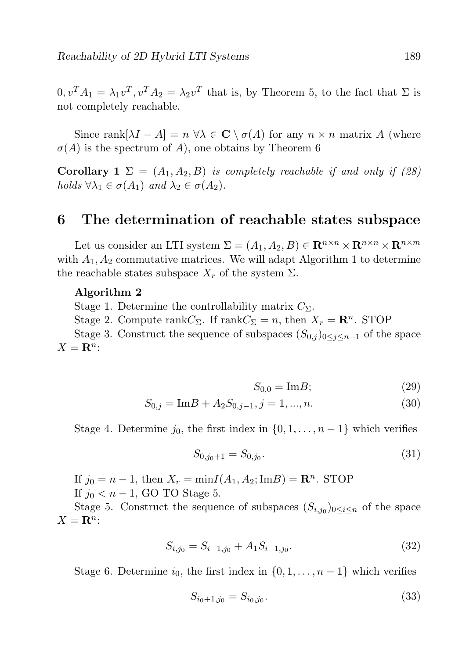$0, v^T A_1 = \lambda_1 v^T, v^T A_2 = \lambda_2 v^T$  that is, by Theorem 5, to the fact that  $\Sigma$  is not completely reachable.

Since rank $[\lambda I - A] = n \ \forall \lambda \in \mathbb{C} \setminus \sigma(A)$  for any  $n \times n$  matrix A (where  $\sigma(A)$  is the spectrum of A), one obtains by Theorem 6

Corollary 1  $\Sigma = (A_1, A_2, B)$  is completely reachable if and only if (28) holds  $\forall \lambda_1 \in \sigma(A_1)$  and  $\lambda_2 \in \sigma(A_2)$ .

### 6 The determination of reachable states subspace

Let us consider an LTI system  $\Sigma = (A_1, A_2, B) \in \mathbb{R}^{n \times n} \times \mathbb{R}^{n \times m} \times \mathbb{R}^{n \times m}$ with  $A_1, A_2$  commutative matrices. We will adapt Algorithm 1 to determine the reachable states subspace  $X_r$  of the system  $\Sigma$ .

#### Algorithm 2

Stage 1. Determine the controllability matrix  $C_{\Sigma}$ .

Stage 2. Compute rank $C_{\Sigma}$ . If rank $C_{\Sigma} = n$ , then  $X_r = \mathbb{R}^n$ . STOP

Stage 3. Construct the sequence of subspaces  $(S_{0,i})_{0\leq i\leq n-1}$  of the space  $X = \mathbf{R}^n$ :

$$
S_{0,0} = \text{Im}B; \tag{29}
$$

$$
S_{0,j} = \text{Im}B + A_2 S_{0,j-1}, j = 1, ..., n.
$$
\n(30)

Stage 4. Determine  $j_0$ , the first index in  $\{0, 1, \ldots, n-1\}$  which verifies

$$
S_{0,j_0+1} = S_{0,j_0}.\tag{31}
$$

If  $j_0 = n - 1$ , then  $X_r = \min I(A_1, A_2; \text{Im}B) = \mathbb{R}^n$ . STOP If  $j_0 < n-1$ , GO TO Stage 5.

Stage 5. Construct the sequence of subspaces  $(S_{i,j_0})_{0 \leq i \leq n}$  of the space  $X = \mathbf{R}^n$ :

$$
S_{i,j_0} = S_{i-1,j_0} + A_1 S_{i-1,j_0}.
$$
\n(32)

Stage 6. Determine  $i_0$ , the first index in  $\{0, 1, \ldots, n-1\}$  which verifies

$$
S_{i_0+1,j_0} = S_{i_0,j_0}.\tag{33}
$$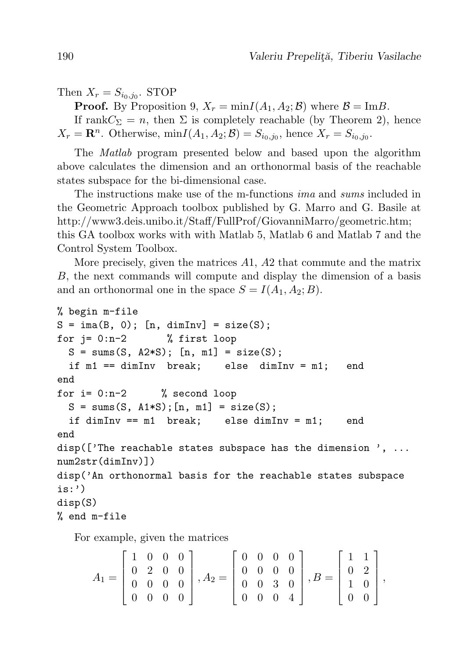Then  $X_r = S_{i_0,j_0}$ . STOP

**Proof.** By Proposition 9,  $X_r = \min I(A_1, A_2; \mathcal{B})$  where  $\mathcal{B} = \text{Im} \mathcal{B}$ .

If rank $C_{\Sigma} = n$ , then  $\Sigma$  is completely reachable (by Theorem 2), hence  $X_r = \mathbf{R}^n$ . Otherwise,  $\min I(A_1, A_2; \mathcal{B}) = S_{i_0, j_0}$ , hence  $X_r = S_{i_0, j_0}$ .

The Matlab program presented below and based upon the algorithm above calculates the dimension and an orthonormal basis of the reachable states subspace for the bi-dimensional case.

The instructions make use of the m-functions ima and sums included in the Geometric Approach toolbox published by G. Marro and G. Basile at http://www3.deis.unibo.it/Staff/FullProf/GiovanniMarro/geometric.htm; this GA toolbox works with with Matlab 5, Matlab 6 and Matlab 7 and the Control System Toolbox.

More precisely, given the matrices A1, A2 that commute and the matrix B, the next commands will compute and display the dimension of a basis and an orthonormal one in the space  $S = I(A_1, A_2; B)$ .

```
% begin m-file
S = \text{ima}(B, 0); [n, \text{dimInv}] = \text{size}(S);for i = 0:n-2 % first loop
 S = sums(S, A2*S); [n, m1] = size(S);if m1 == dimInv break; else dimInv = m1; end
end
for i= 0:n-2 % second loop
 S = sums(S, A1*S); [n, m1] = size(S);if dimInv == m1 break; else dimInv = m1; end
end
disp(['The reachable states subspace has the dimension', ...
num2str(dimInv)])
disp('An orthonormal basis for the reachable states subspace
is:')
disp(S)
% end m-file
```
For example, given the matrices

$$
A_1 = \begin{bmatrix} 1 & 0 & 0 & 0 \\ 0 & 2 & 0 & 0 \\ 0 & 0 & 0 & 0 \\ 0 & 0 & 0 & 0 \end{bmatrix}, A_2 = \begin{bmatrix} 0 & 0 & 0 & 0 \\ 0 & 0 & 0 & 0 \\ 0 & 0 & 3 & 0 \\ 0 & 0 & 0 & 4 \end{bmatrix}, B = \begin{bmatrix} 1 & 1 \\ 0 & 2 \\ 1 & 0 \\ 0 & 0 \end{bmatrix},
$$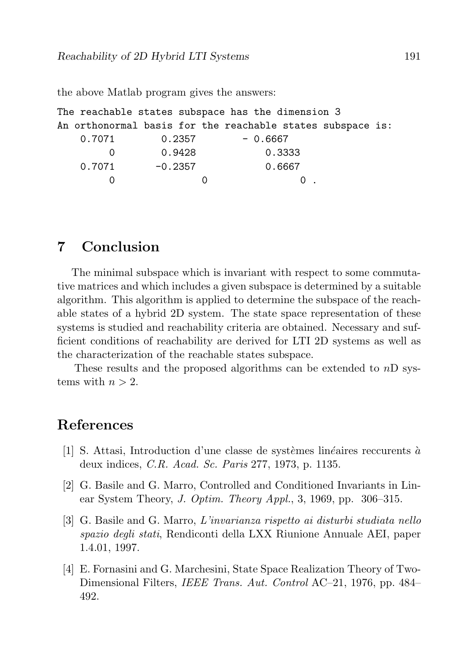the above Matlab program gives the answers:

```
The reachable states subspace has the dimension 3
An orthonormal basis for the reachable states subspace is:
   0.7071 0.2357 - 0.6667
       0 0.9428 0.3333
   0.7071 -0.2357 0.6667
       0 \qquad \qquad 0 \qquad \qquad 0 \qquad
```
### 7 Conclusion

The minimal subspace which is invariant with respect to some commutative matrices and which includes a given subspace is determined by a suitable algorithm. This algorithm is applied to determine the subspace of the reachable states of a hybrid 2D system. The state space representation of these systems is studied and reachability criteria are obtained. Necessary and sufficient conditions of reachability are derived for LTI 2D systems as well as the characterization of the reachable states subspace.

These results and the proposed algorithms can be extended to  $nD$  systems with  $n > 2$ .

### References

- [1] S. Attasi, Introduction d'une classe de systèmes linéaires reccurents à deux indices, C.R. Acad. Sc. Paris 277, 1973, p. 1135.
- [2] G. Basile and G. Marro, Controlled and Conditioned Invariants in Linear System Theory, J. Optim. Theory Appl., 3, 1969, pp. 306–315.
- [3] G. Basile and G. Marro, L'invarianza rispetto ai disturbi studiata nello spazio degli stati, Rendiconti della LXX Riunione Annuale AEI, paper 1.4.01, 1997.
- [4] E. Fornasini and G. Marchesini, State Space Realization Theory of Two-Dimensional Filters, IEEE Trans. Aut. Control AC–21, 1976, pp. 484– 492.